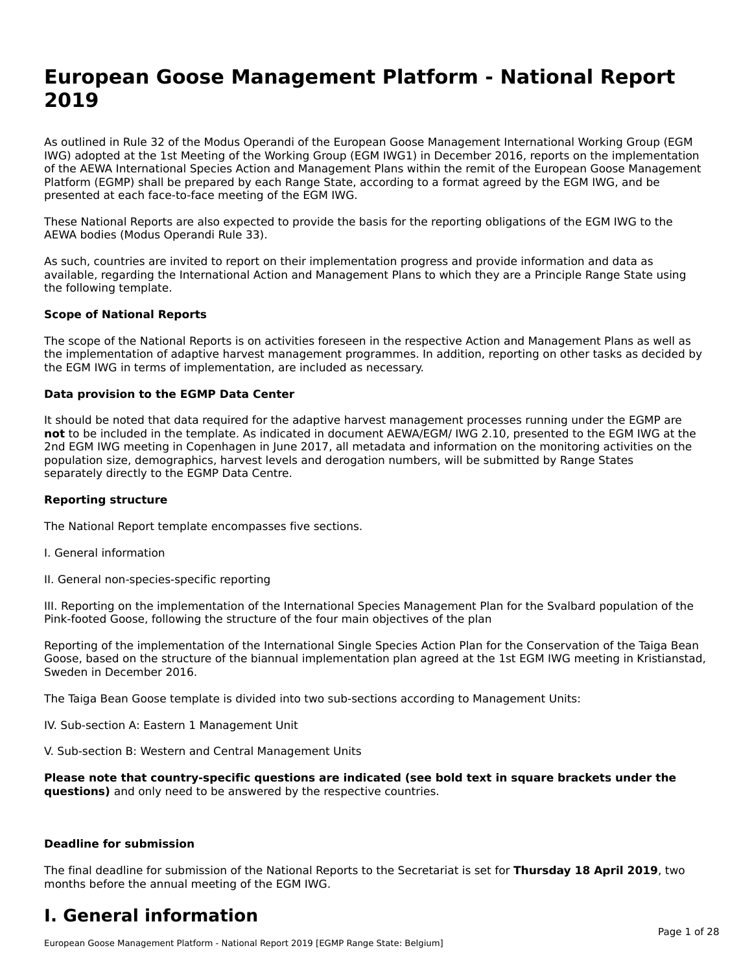# **European Goose Management Platform - National Report**European Goose Management Platform - National **Neport**<br>2010

As outlined in Rule 32 of the Modus Operandi of the European Goose Management International Working Group (EGM As buthled in Rule 32 of the Modus Operandi of the Lufopean Goose Management International Working Group (LGM<br>IWG) adopted at the 1st Meeting of the Working Group (EGM IWG1) in December 2016, reports on the implementation of the AEWA International Species Action and Management Plans within the remit of the European Goose Management Platform (EGMP) shall be prepared by each Range State, according to a format agreed by the EGM IWG, and be presented at each face-to-face meeting of the EGM IWG.

These National Reports are also expected to provide the basis for the reporting obligations of the EGM IWG to the AEWA bodies (Modus Operandi Rule 33).

As such, countries are invited to report on their implementation progress and provide information and data as<br>available, regarding the International Action and Management Plans to which they are a Principle Range State usi available, regarding the International Action and Management Plans to which they are a Principle Range State using the following template.

#### **Scope of National Reports**

The scope of the National Reports is on activities foreseen in the respective Action and Management Plans as well as The scope of the National Reports is on activities foreseen in the respective Action and Management Plans as well as<br>the implementation of adaptive harvest management programmes. In addition, reporting on other tasks as de the EGM IWG in terms of implementation, are included as necessary.

#### **Data provision to the EGMP Data Center**

It should be noted that data required for the adaptive harvest management processes running under the EGMP are **not** to be included in the template. As indicated in document AEWA/EGM/ IWG 2.10, presented to the EGM IWG at the 2nd EGM IWG meeting in Copenhagen in June 2017, all metadata and information on the monitoring activities on the population size, demographics, harvest levels and derogation numbers, will be submitted by Range States separately directly to the EGMP Data Centre.

#### **Reporting structure**

The National Report template encompasses five sections.

- I. General information
- II. General non-species-specific reporting

III. Reporting on the implementation of the International Species Management Plan for the Svalbard population of the

Reporting of the implementation of the International Single Species Action Plan for the Conservation of the Taiga Bean Reporting of the implementation of the international single species Action Fram for the conservation of the laiga beam<br>Goose, based on the structure of the biannual implementation plan agreed at the 1st EGM IWG meeting in

The Taiga Bean Goose template is divided into two sub-sections according to Management Units:

IV. Sub-section A: Eastern 1 Management Unit

V. Sub-section B: Western and Central Management Units

Please note that country-specific questions are indicated (see bold text in square brackets under the **questions)** and only need to be answered by the respective countries.

#### **Deadline for submission**

The final deadline for submission of the National Reports to the Secretariat is set for **Thursday 18 April 2019**, two months before the annual meeting of the EGM IWG.

#### **I. General information**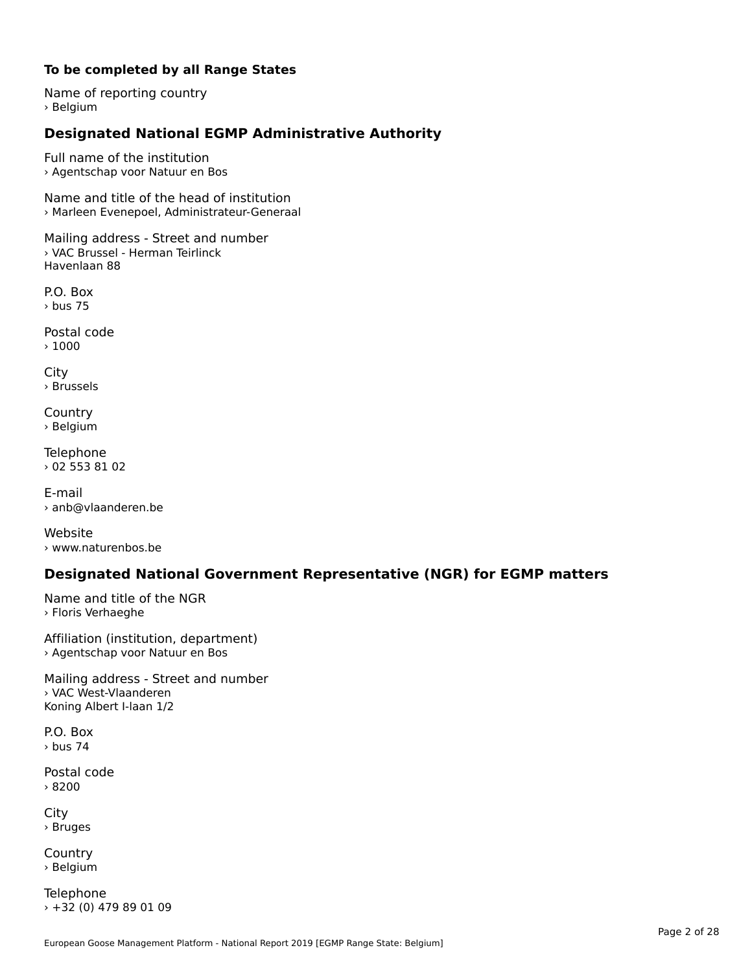#### **To be completed by all Range States**

Name of reporting country › Belgium

# **Designated National EGMP Administrative Authority**

Full name of the institution› Agentschap voor Natuur en Bos

Name and title of the head of institution › Marleen Evenepoel, Administrateur-Generaal

Mailing address - Street and number › VAC Brussel - Herman Teirlinck Havenlaan 88

P.O. Box› bus 75

Postal code › 1000

City › Brussels

**Country** country<br>› Belgium

Telephone › 02 553 81 02

E-mail› anb@vlaanderen.be

Website› www.naturenbos.be

### **Designated National Government Representative (NGR) for EGMP matters**

Name and title of the NGR › Floris Verhaeghe

Affiliation (institution, department) › Agentschap voor Natuur en Bos

Mailing address - Street and number › VAC West-Vlaanderen Koning Albert I-laan 1/2

P.O. Box› bus 74

Postal code› 8200

City › Bruges

**Country** country<br>› Belgium

Telephone › +32 (0) 479 89 01 09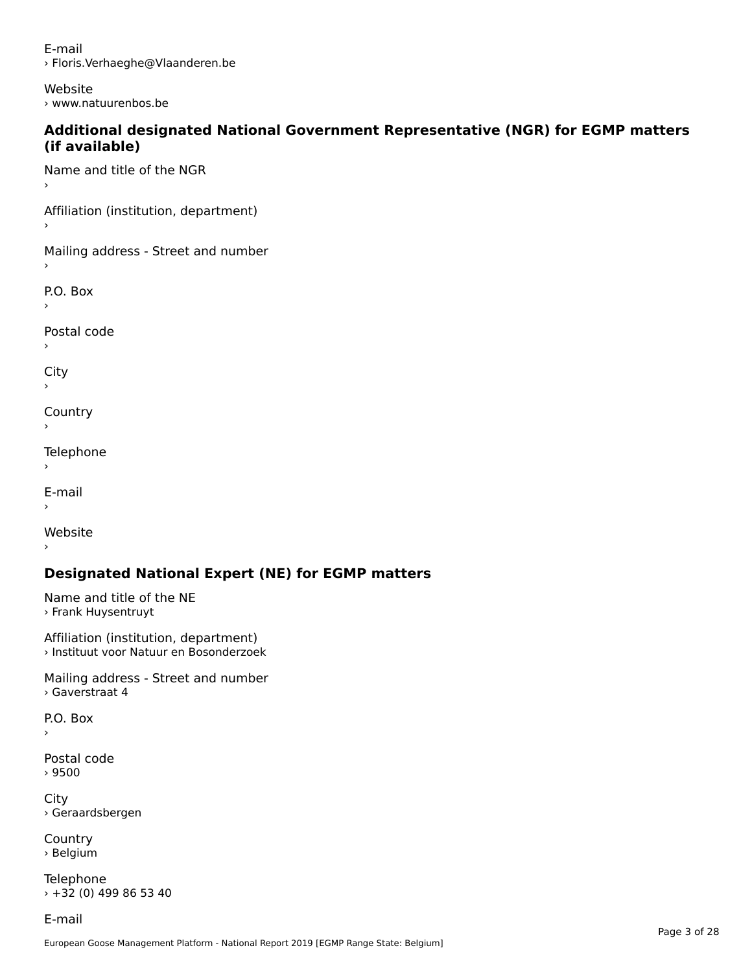E-mail› Floris.Verhaeghe@Vlaanderen.be

Website› www.natuurenbos.be

#### **Additional designated National Government Representative (NGR) for EGMP matters (if available)**(if available)

Name and title of the NGR›

Affiliation (institution, department)

Mailing address - Street and number

P.O. Box

Postal code

›

City

**Country** 

Telephone

 $\bar{\phantom{a}}$ 

E-mail

›

Website

# **Designated National Expert (NE) for EGMP matters**

Name and title of the NE › Frank Huysentruyt

Affiliation (institution, department) › Instituut voor Natuur en Bosonderzoek

Mailing address - Street and number › Gaverstraat 4

P.O. Box

›

Postal code› 9500

City › Geraardsbergen

**Country** country<br>› Belgium

Telephone › +32 (0) 499 86 53 40

E-mail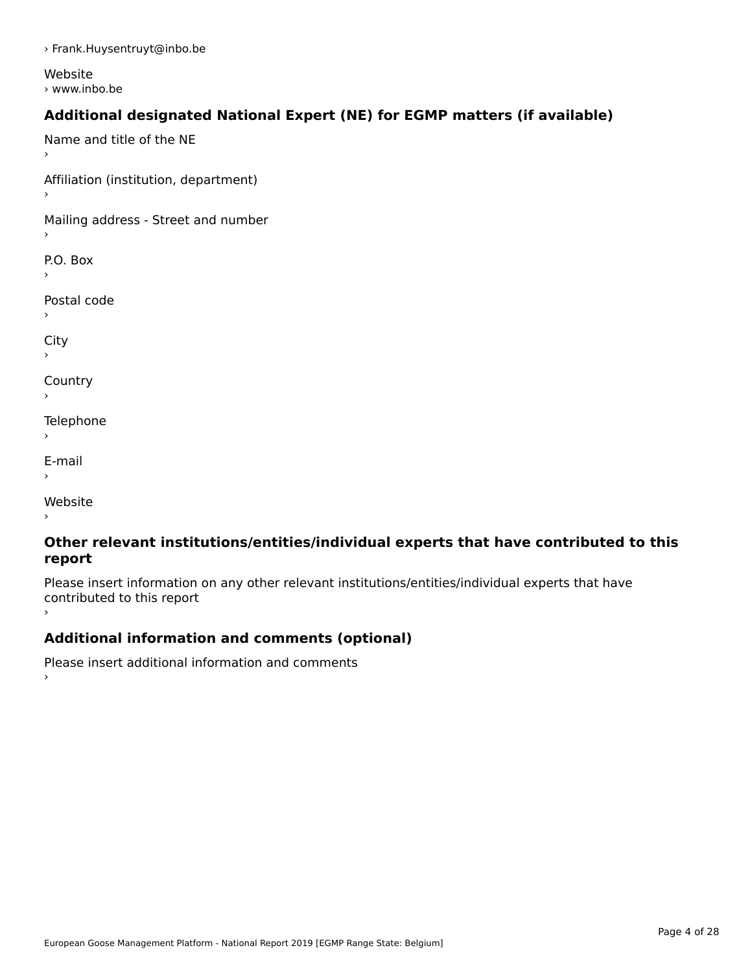› Frank.Huysentruyt@inbo.be

Website › www.inbo.be

# **Additional designated National Expert (NE) for EGMP matters (if available)**

Name and title of the NE›Affiliation (institution, department) Mailing address - Street and number P.O. Box Postal code› $\mathbf{C}^{\text{th}}$ ›**Country** Telephone E-mail›website<br>Website ›

#### **Other relevant institutions/entities/individual experts that have contributed to this report**report

Please insert information on any other relevant institutions/entities/individual experts that have riease insert information<br>contributed to this report ›

# **Additional information and comments (optional)**

Please insert additional information and comments ›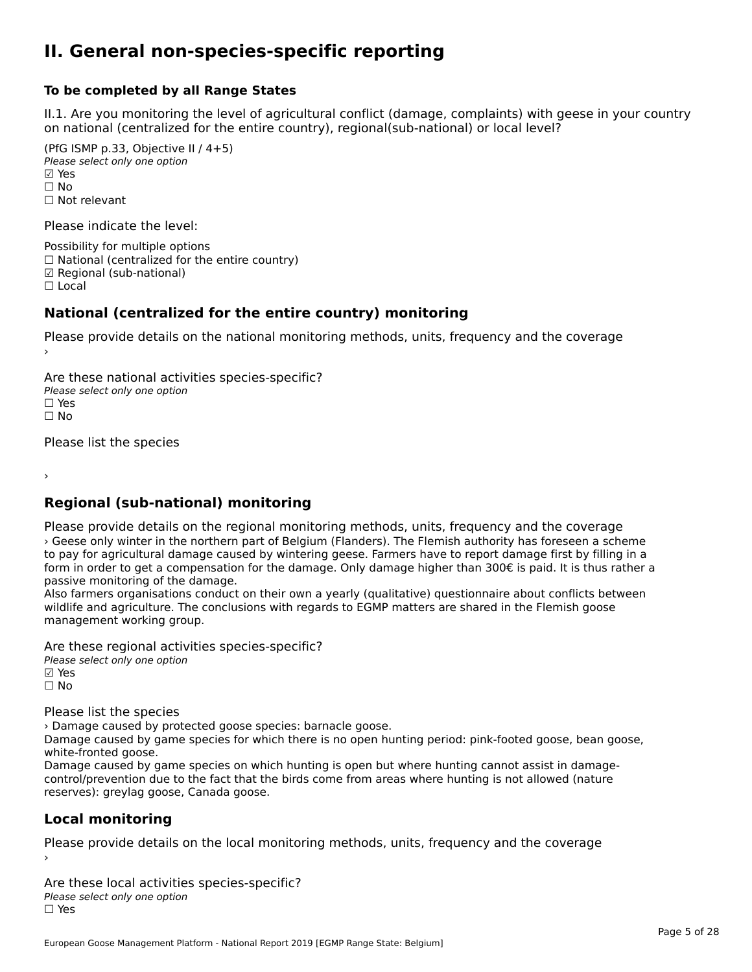#### **II. General non-species-specific reporting**

#### **To be completed by all Range States**

II.1. Are you monitoring the level of agricultural conflict (damage, complaints) with geese in your country n.i. Are you monitoring the lever or agricultural connict (damage, complaints) with g<br>on national (centralized for the entire country), regional(sub-national) or local level?

(PfG ISMP p.33, Objective II  $(4+5)$ ) Please select only one option ☑ Yes**☑ Yes**<br>□ No □ No<br>□ Not relevant

Please indicate the level:

Possibility for multiple options  $\Box$  National (centralized for the entire country) ☑ Regional (sub-national)

☐ Local

#### **National (centralized for the entire country) monitoring**

Please provide details on the national monitoring methods, units, frequency and the coverage

Are these national activities species-specific? ∩ne enese national activity<br>Please select only one option ים וכ<br>⊡ No

Please list the species

›

### **Regional (sub-national) monitoring**

Please provide details on the regional monitoring methods, units, frequency and the coverage › Geese only winter in the northern part of Belgium (Flanders). The Flemish authority has foreseen a scheme to pay for agricultural damage caused by wintering geese. Farmers have to report damage first by filling in a form in order to get a compensation for the damage. Only damage higher than  $300\epsilon$  is paid. It is thus rather a form in order to get a compensation for the damage. Only damage higher than  $300\epsilon$  is paid. It is thus rath passive monitoring of the damage.

Also farmers organisations conduct on their own a yearly (qualitative) questionnaire about conflicts between Also farmers organisations conduct on their own a yearly (qualitative) questionnaire about connicts between the conclusions with regards to EGMP matters are shared in the Flemish goose management working group.

Are these regional activities species-specific?

Please select only one option ☑ Yes☐ No

Please list the species

› Damage caused by protected goose species: barnacle goose.

whandee caused by protected goose species. Damacle goose.<br>Damage caused by game species for which there is no open hunting period: pink-footed goose, bean goose, white-fronted goose.

Damage caused by game species on which hunting is open but where hunting cannot assist in damagecontrol/prevention due to the fact that the birds come from areas where hunting is not allowed (nature reserves): greylag goose, Canada goose.

#### **Local monitoring**

Please provide details on the local monitoring methods, units, frequency and the coverage

Are these local activities species-specific? ∩ne these local detivities<br>Please select only one option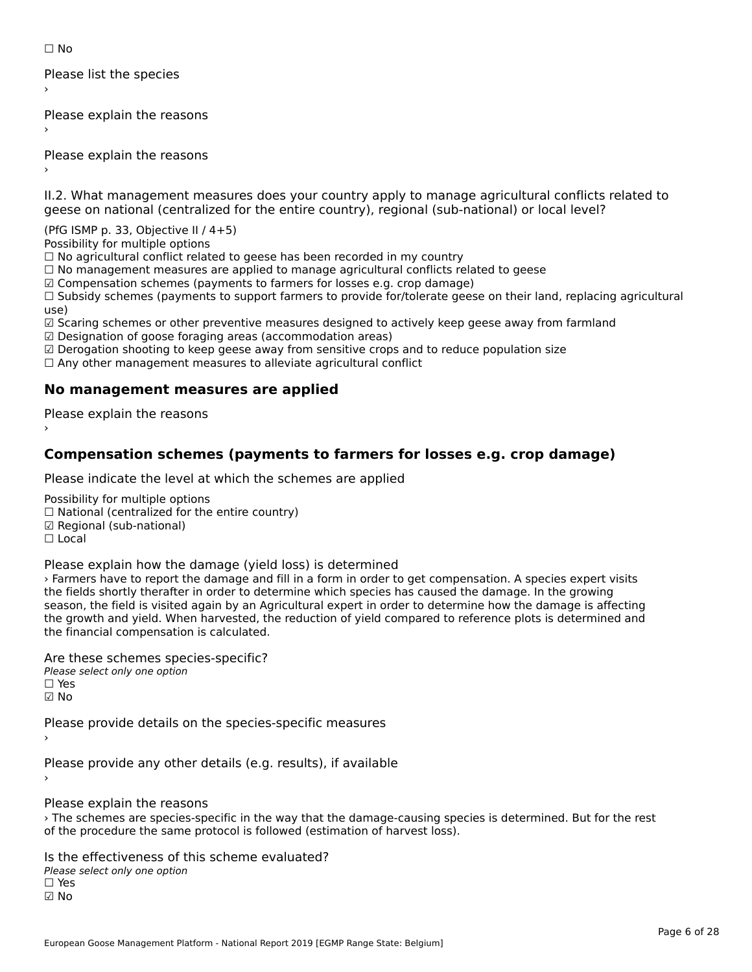☐ No

Please list the species ›

Please explain the reasons

Please explain the reasons ›

II.2. What management measures does your country apply to manage agricultural conflicts related to

(PfG ISMP p. 33, Objective II / 4+5)

Possibility for multiple options

rossibility for multiple options<br>□ No agricultural conflict related to geese has been recorded in my country

 $\Box$  No management measures are applied to manage agricultural conflicts related to geese

☑ Compensation schemes (payments to farmers for losses e.g. crop damage)

© Compensation schemes (payments to farmers for losses e.g. crop damage)<br>□ Subsidy schemes (payments to support farmers to provide for/tolerate geese on their land, replacing agricultural use) ☑ Scaring schemes or other preventive measures designed to actively keep geese away from farmland

☑ Designation of goose foraging areas (accommodation areas)

 $\boxtimes$  Designation of goose foraging areas (accommodation areas)

ය Designation of goose foraging areas (accommodation areas)<br>☑ Derogation shooting to keep geese away from sensitive crops and to reduce population size

⊠ Derogation shooting to keep geese away nom sensitive crops and<br>□ Any other management measures to alleviate agricultural conflict

## **No management measures are applied**

Please explain the reasons ›

### **Compensation schemes (payments to farmers for losses e.g. crop damage)**

Please indicate the level at which the schemes are applied

Possibility for multiple options rossibility for multiple options<br>□ National (centralized for the entire country) □ National (centralized io<br>☑ Regional (sub-national) ☐ Local

Please explain how the damage (yield loss) is determined

› Farmers have to report the damage and fill in a form in order to get compensation. A species expert visits Traffields shave to report the damage and nif in a form in order to get compensation. A species expert v<br>the fields shortly therafter in order to determine which species has caused the damage. In the growing the helds shortly theratter in order to determine which species has caused the damage. In the growing<br>season, the field is visited again by an Agricultural expert in order to determine how the damage is affecting the growth and yield. When harvested, the reduction of yield compared to reference plots is determined and the growth and yield. When harvested, translated.

Are these schemes species-specific?∩ne these senemes spe<br>Please select only one option ☑ No

Please provide details on the species-specific measures

Please provide any other details (e.g. results), if available

Please explain the reasons

› The schemes are species-specific in the way that the damage-causing species is determined. But for the rest The schemes are species-specific in the way that the damage-causing species.<br>of the procedure the same protocol is followed (estimation of harvest loss).

Is the effectiveness of this scheme evaluated? Please select only one option ☐ Yes☑ No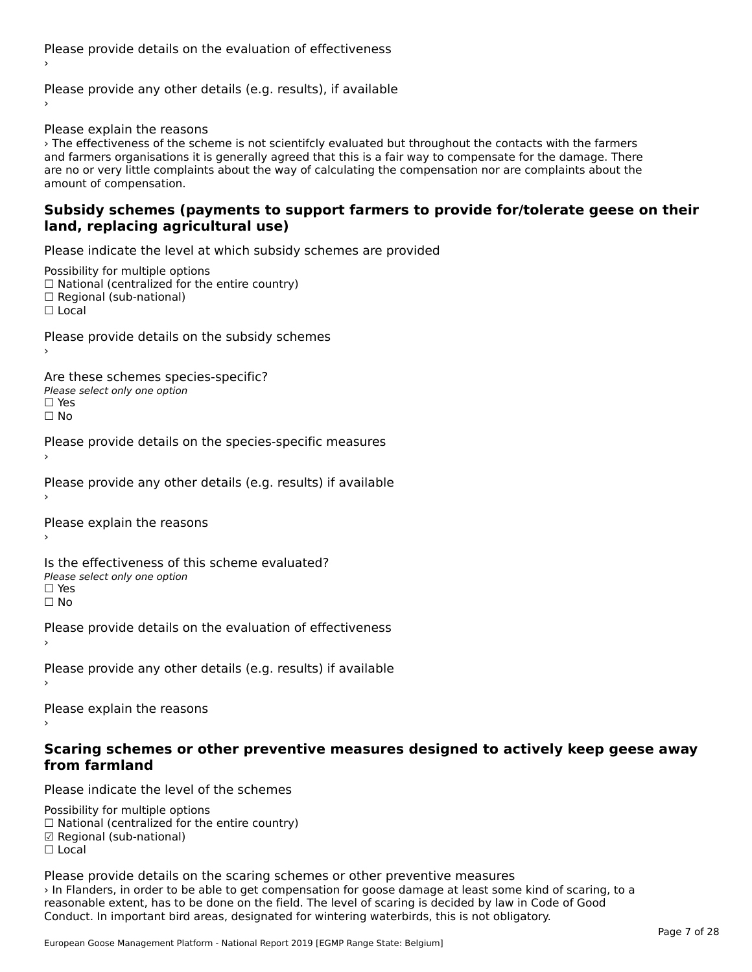Please provide details on the evaluation of effectiveness›

Please provide any other details (e.g. results), if available

Please explain the reasons

› The effectiveness of the scheme is not scientifcly evaluated but throughout the contacts with the farmers and farmers organisations it is generally agreed that this is a fair way to compensate for the damage. There an<br>and farmers organisations it is generally agreed that this is a fair way to compensate for the damage. There and farmers organisations it is generally agreed that this is a fair way to compensate for the damage. There<br>are no or very little complaints about the way of calculating the compensation nor are complaints about the are no or very ntile compi<br>amount of compensation.

#### **Subsidy schemes (payments to support farmers to provide for/tolerate geese on their land, replacing agricultural use)**land, replacing agricultural use)

Please indicate the level at which subsidy schemes are provided

Possibility for multiple options  $\Box$  National (centralized for the entire country)  $\Box$  Regional (sub-national) ☐ Local

Please provide details on the subsidy schemes

Are these schemes species-specific?

∩ne these senemes spe<br>Please select only one option □ Yes<br>□ No

Please provide details on the species-specific measures

Please provide any other details (e.g. results) if available

Please explain the reasons›

Is the effectiveness of this scheme evaluated?Please select only one optionriease<br>□ Yes

□ Yes<br>□ No

Please provide details on the evaluation of effectiveness

Please provide any other details (e.g. results) if available

Please explain the reasons

# **Scaring schemes or other preventive measures designed to actively keep geese away from farmland**

Please indicate the level of the schemes

Possibility for multiple options rossibility for multiple options<br>□ National (centralized for the entire country) ☑ Regional (sub-national)☐ Local

Please provide details on the scaring schemes or other preventive measures › In Flanders, in order to be able to get compensation for goose damage at least some kind of scaring, to a Firmanuers, in other to be able to get compensation for goose damage at least some kind of scaring reasonable extent, has to be done on the field. The level of scaring is decided by law in Code of Good Conduct. In important bird areas, designated for wintering waterbirds, this is not obligatory.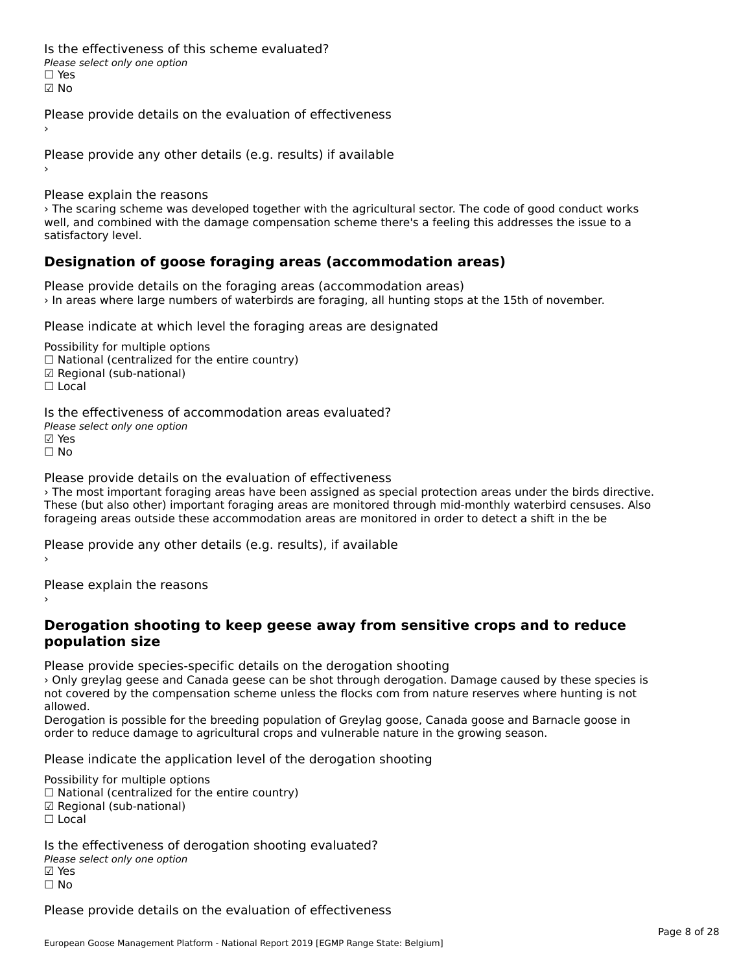Is the effectiveness of this scheme evaluated?□ CITC CITCCLIVERESS OF C<br>Please select only one option ☑ No

Please provide details on the evaluation of effectiveness

Please provide any other details (e.g. results) if available

Please explain the reasons

› The scaring scheme was developed together with the agricultural sector. The code of good conduct works well, and combined with the damage compensation scheme there's a feeling this addresses the issue to a wen, and combine<br>satisfactory level.

### **Designation of goose foraging areas (accommodation areas)**

Please provide details on the foraging areas (accommodation areas) › In areas where large numbers of waterbirds are foraging, all hunting stops at the 15th of november.

Please indicate at which level the foraging areas are designated

Possibility for multiple options ™assibility for multiple options<br>□ National (centralized for the entire country) ☑ Regional (sub-national)☐ Local

Is the effectiveness of accommodation areas evaluated?Please select only one option ☑ Yes☐ No

Please provide details on the evaluation of effectiveness

› The most important foraging areas have been assigned as special protection areas under the birds directive. These (but also other) important foraging areas are monitored through mid-monthly waterbird censuses. Also forageing areas outside these accommodation areas are monitored in order to detect a shift in the be

Please provide any other details (e.g. results), if available

Please explain the reasons

#### **Derogation shooting to keep geese away from sensitive crops and to reduce population size**population size

Please provide species-specific details on the derogation shooting

› Only greylag geese and Canada geese can be shot through derogation. Damage caused by these species is not covered by the compensation scheme unless the flocks com from nature reserves where hunting is not allowed.

anoweg.<br>Derogation is possible for the breeding population of Greylag goose, Canada goose and Barnacle goose in order to reduce damage to agricultural crops and vulnerable nature in the growing season.

Please indicate the application level of the derogation shooting

Possibility for multiple options

rossibility for multiple options<br>□ National (centralized for the entire country)

□ Rational (centralized io<br>☑ Regional (sub-national)

Is the effectiveness of derogation shooting evaluated? □ CHECONCHESS OF 0<br>Please select only one option

☐ No

Please provide details on the evaluation of effectiveness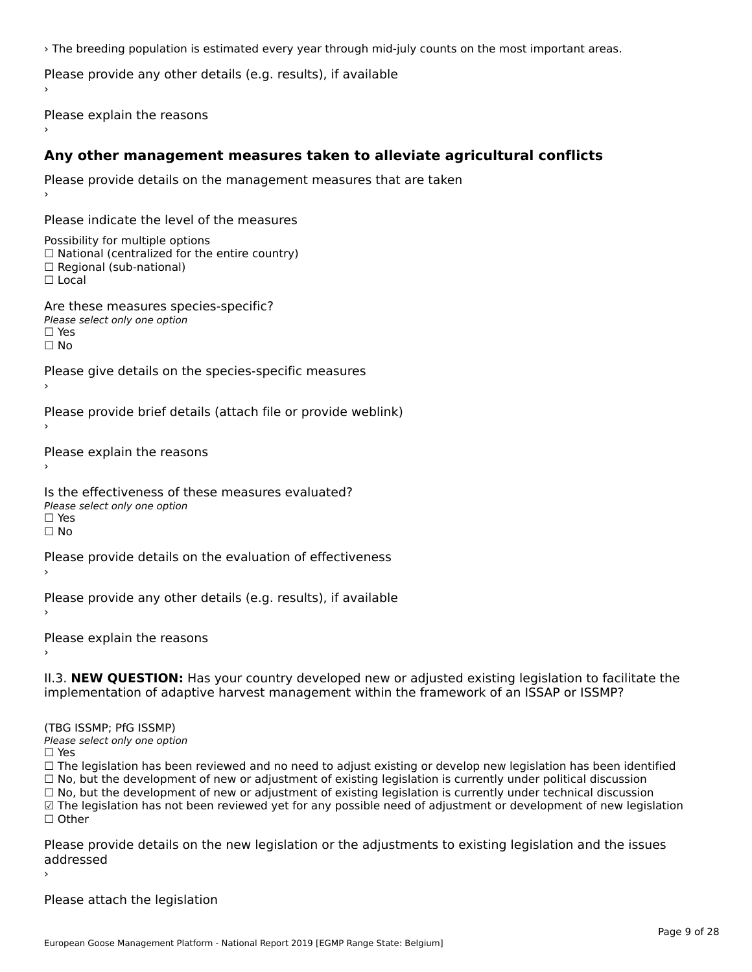› The breeding population is estimated every year through mid-july counts on the most important areas.

Please provide any other details (e.g. results), if available

Please explain the reasons

### **Any other management measures taken to alleviate agricultural conflicts**

```
Please provide details on the management measures that are taken
Please indicate the level of the measuresPossibility for multiple options rossibility for multiple options<br>□ National (centralized for the entire country)
□ National (centralized io<br>□ Regional (sub-national)
☐ LocalAre these measures species-specific?ric criese measures spe<br>Please select only one option
☐ Yesים<br>⊡ No
Please give details on the species-specific measures
Please provide brief details (attach file or provide weblink)
Please explain the reasons
Is the effectiveness of these measures evaluated?Please select only one option☐ Yes☐ NoPlease provide details on the evaluation of effectiveness
Please provide any other details (e.g. results), if available
Please explain the reasons›II.3. NEW QUESTION: Has your country developed new or adjusted existing legislation to facilitate the
(TBG ISSMP; PfG ISSMP)Please select only one option
☐ Yes☐ The legislation has been reviewed and no need to adjust existing or develop new legislation has been identified
\Box The regislation has been reviewed and no need to adjust existing or develop hew regislation has been identify and \Box No, but the development of new or adjustment of existing legislation is currently under political
☐ No, but the development of new or adjustment of existing legislation is currently under technical discussion
□ No, but the development of new or adjustment of existing regislation is currently under technical discussion<br>□ The legislation has not been reviewed yet for any possible need of adjustment or development of new legisla
```
Page 9 of 28

addressed

Please attach the legislation

Please provide details on the new legislation or the adjustments to existing legislation and the issues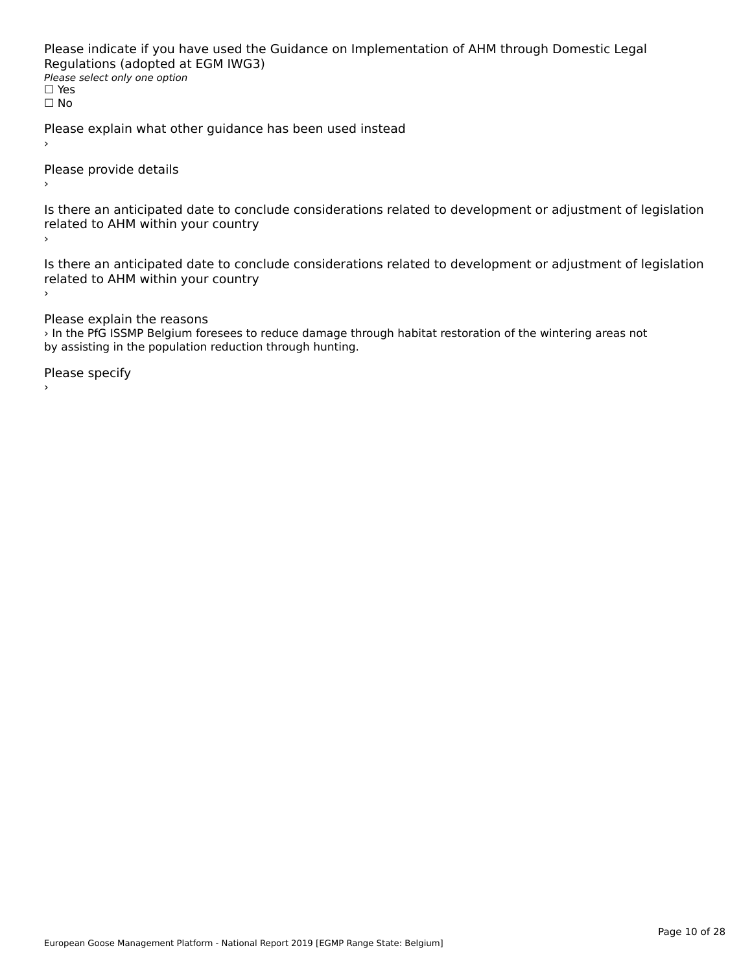Please indicate if you have used the Guidance on Implementation of AHM through Domestic Legal riease indicate ir you have used the<br>Regulations (adopted at EGM IWG3) **Regardents (dubpled a)**<br>Please select only one option ☐ Yesים וכ<br>⊡ No

Please explain what other guidance has been used instead

Please provide details

Is there an anticipated date to conclude considerations related to development or adjustment of legislation is there are anticrpated date to control<br>related to AHM within your country

Is there an anticipated date to conclude considerations related to development or adjustment of legislation is there an anticipated date to control<br>related to AHM within your country

Please explain the reasons

› In the PfG ISSMP Belgium foresees to reduce damage through habitat restoration of the wintering areas not an the FIG issue beiging folesees to reduce damage the population reduction through hunting.

Please specify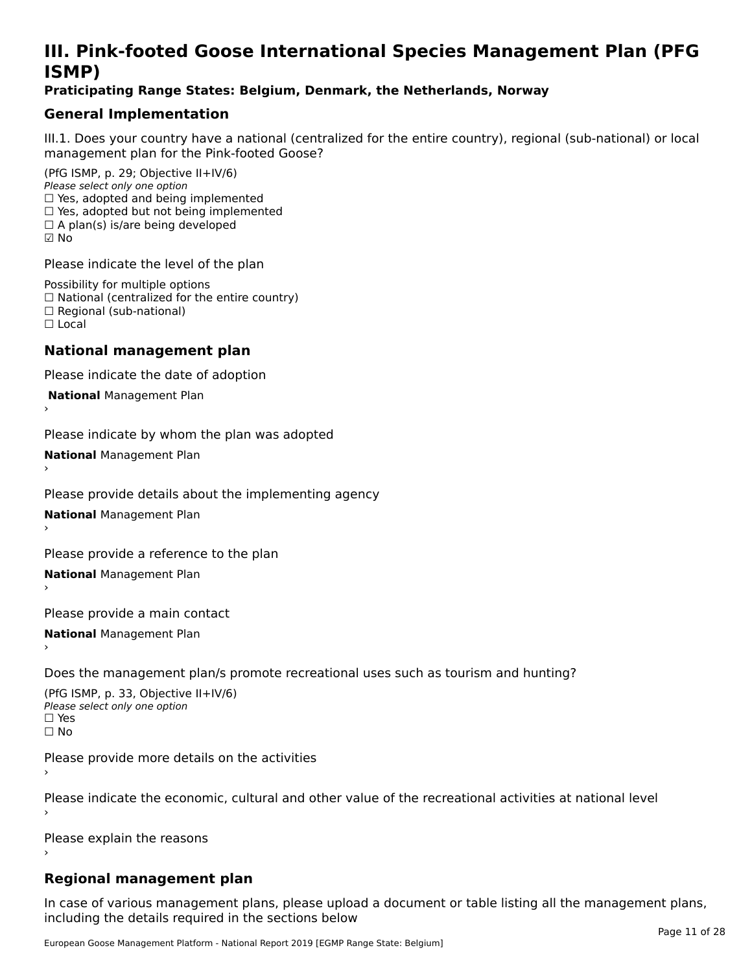# **III. Pink-footed Goose International Species Management Plan (PFG**III. FIIIN-IUULEU GUUSE IIILEI II**atiunai Species Management Fian (FTG**<br>ISMD)

#### **Praticipating Range States: Belgium, Denmark, the Netherlands, Norway**

### **General Implementation**

III.1. Does your country have a national (centralized for the entire country), regional (sub-national) or local

(PfG ISMP, p. 29; Objective II+IV/6) Please select only one option *Please select only one option*<br>□ Yes, adopted and being implemented  $\Box$  ies, adopted and being implemented<br> $\Box$  Yes, adopted but not being implemented  $\Box$  A plan(s) is/are being developed ☑ No

Please indicate the level of the plan

Possibility for multiple options rossibility for multiple options<br>□ National (centralized for the entire country) □ National (centralized io<br>□ Regional (sub-national) ☐ Local

#### **National management plan**

Please indicate the date of adoption

 **National** Management Plan

›

Please indicate by whom the plan was adopted

**National** Management Plan ›

Please provide details about the implementing agency

**National** Management Plan ›

Please provide a reference to the plan

**National** Management Plan ›

Please provide a main contact

**National** Management Plan ›

Does the management plan/s promote recreational uses such as tourism and hunting?

(PfG ISMP, p. 33, Objective II+IV/6) Please select only one optionPlease select only one option  $\square$  Yes ☐ No

Please provide more details on the activities

Please indicate the economic, cultural and other value of the recreational activities at national level

Please explain the reasons

### **Regional management plan**

In case of various management plans, please upload a document or table listing all the management plans, $\frac{1}{2}$  case of various management plans, please uploa including the details required in the sections below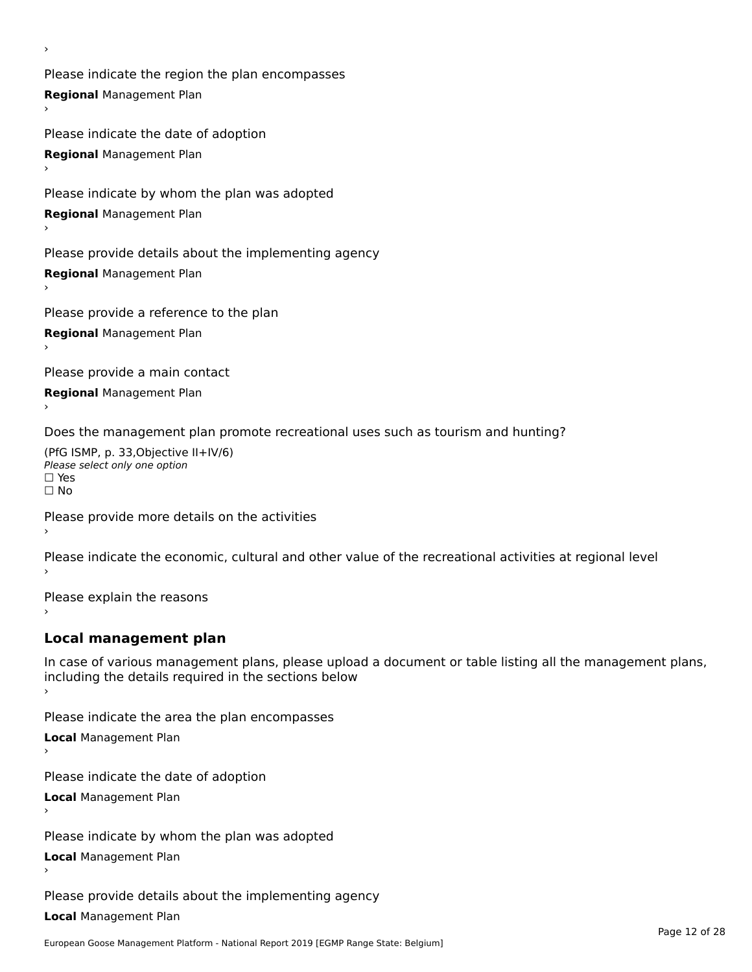Please indicate the region the plan encompasses **Regional** Management Plan

Please indicate the date of adoption **Regional** Management Plan ›

Please indicate by whom the plan was adopted

**Regional** Management Plan

›

Please provide details about the implementing agency

**Regional** Management Plan

Please provide a reference to the plan

**Regional** Management Plan

Please provide a main contact

**Regional** Management Plan

Does the management plan promote recreational uses such as tourism and hunting?

(PfG ISMP, p. 33,Objective II+IV/6) ∩∩ וויוכו פון<br>Please select only one option<br>□ Yes □ Yes<br>□ No

Please provide more details on the activities

Please indicate the economic, cultural and other value of the recreational activities at regional level

Please explain the reasons ›

### **Local management plan**

In case of various management plans, please upload a document or table listing all the management plans, In case of various management plans, please uploa<br>including the details required in the sections below

Please indicate the area the plan encompasses

**Local** Management Plan

Please indicate the date of adoption

**Local** Management Plan›

Please indicate by whom the plan was adopted

**Local** Management Plan

Please provide details about the implementing agency

**Local** Management Plan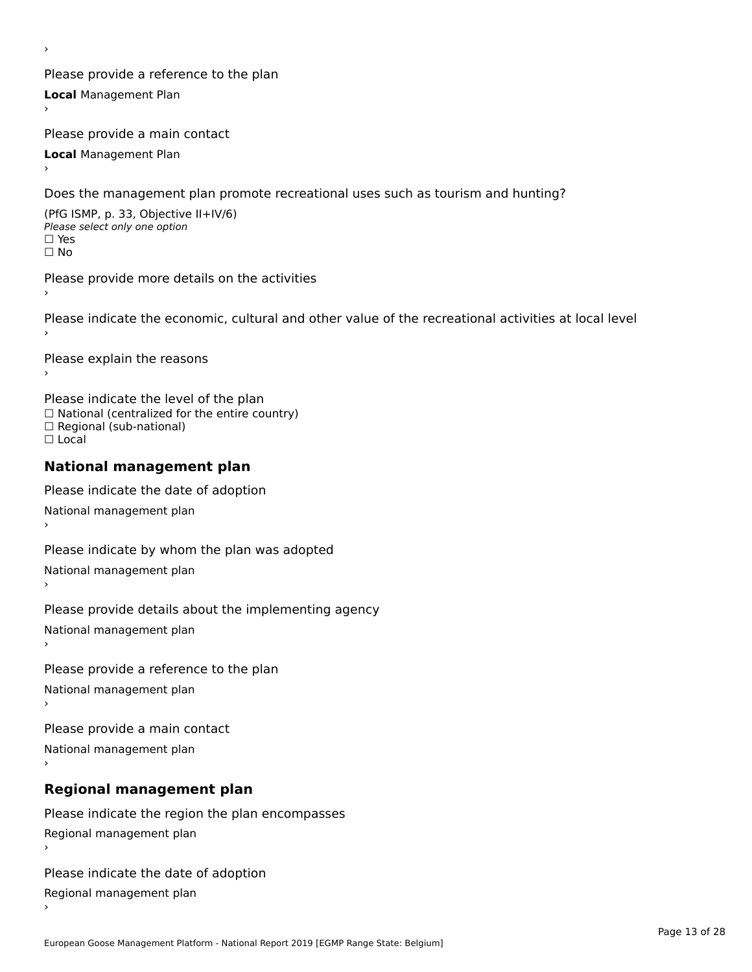Please provide a reference to the plan **Local** Management Plan

Please provide a main contact

**Local** Management Plan

›

Does the management plan promote recreational uses such as tourism and hunting?

(PfG ISMP, p. 33, Objective II+IV/6) Please select only one option☐ Yes☐ No

Please provide more details on the activities

Please indicate the economic, cultural and other value of the recreational activities at local level

Please explain the reasons ›

Please indicate the level of the plan ∩ease marcate the lever of the plan<br>□ National (centralized for the entire country) □ National (centralized io<br>□ Regional (sub-national) ☐ Local

#### **National management plan**

Please indicate the date of adoption National management plan

Please indicate by whom the plan was adopted National management plan ›

Please provide details about the implementing agency

National management plan

Please provide a reference to the plan

National management plan

Please provide a main contact

National management plan

# **Regional management plan**

Please indicate the region the plan encompasses Regional management plan

Please indicate the date of adoption

Regional management plan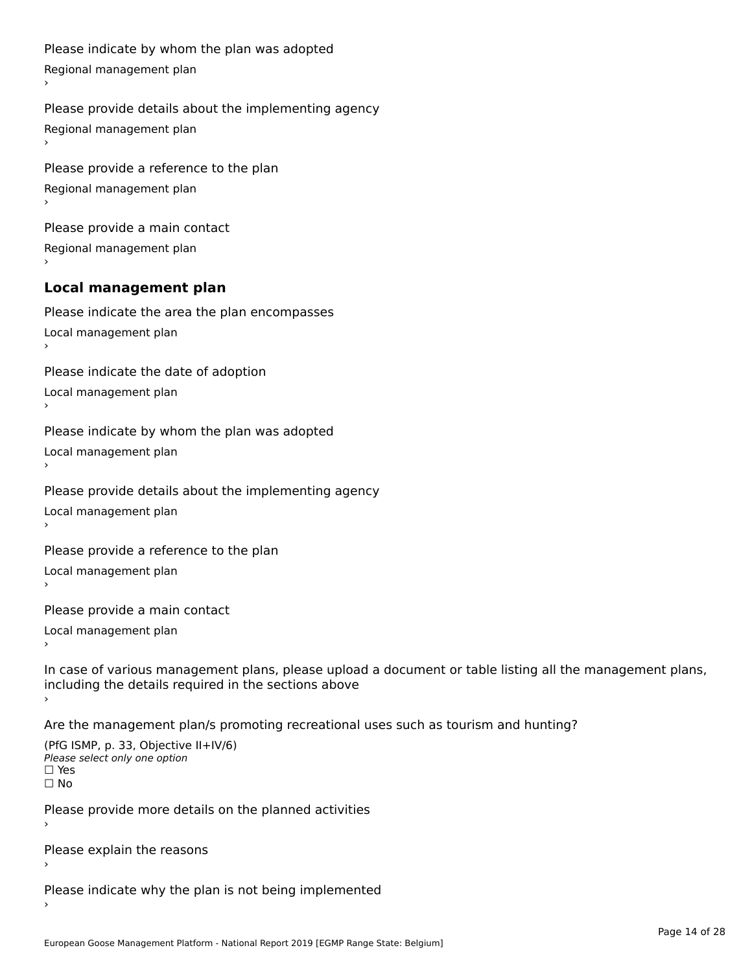```
Please indicate by whom the plan was adopted Regional management plan
Please provide details about the implementing agency Regional management plan
Please provide a reference to the plan Regional management plan
Please provide a main contact Regional management plan
Local management plan
Please indicate the area the plan encompasses Local management plan›Please indicate the date of adoption Local management plan١,
Please indicate by whom the plan was adopted Local management plan›Please provide details about the implementing agency Local management plan١,
Please provide a reference to the plan Local management plan›Please provide a main contact Local management plan١,
In case of various management plans, please upload a document or table listing all the management plans,in case or various management plans, please upload
including the details required in the sections above
Are the management plan/s promoting recreational uses such as tourism and hunting?
```

```
(PfG ISMP, p. 33, Objective II+IV/6)
Please select only one option☐ Yes☐ No
```
Please provide more details on the planned activities

Please explain the reasons›

Please indicate why the plan is not being implemented›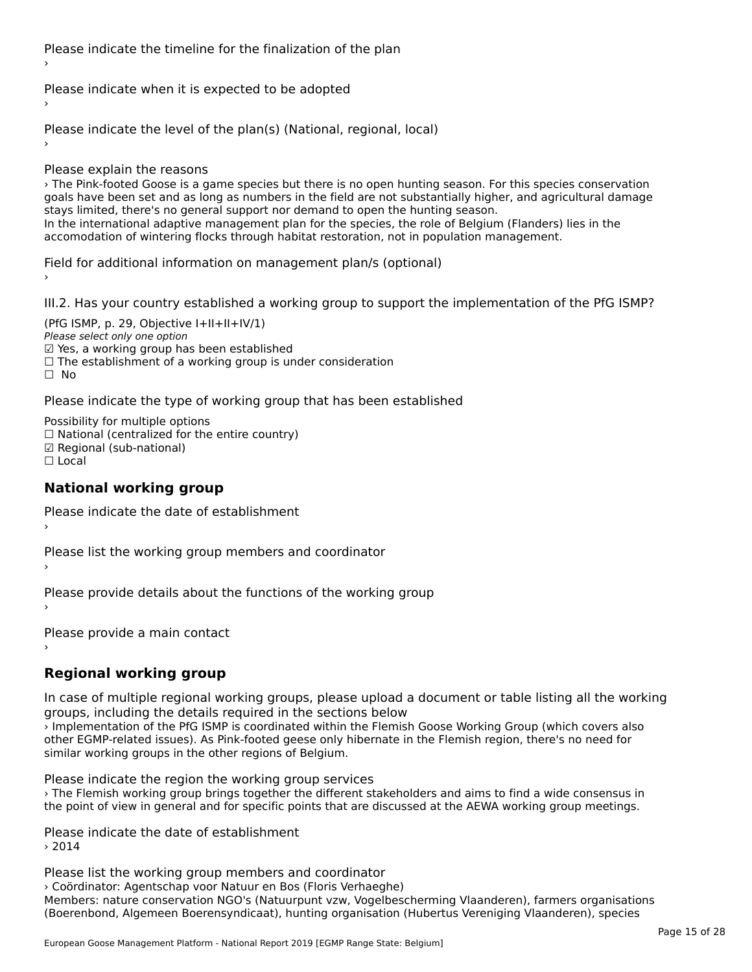Please indicate the timeline for the finalization of the plan

Please indicate when it is expected to be adopted

Please indicate the level of the plan(s) (National, regional, local)

Please explain the reasons

› The Pink-footed Goose is a game species but there is no open hunting season. For this species conservation goals have been set and as long as numbers in the field are not substantially higher, and agricultural damage goals have been set and as long as numbers in the neld are not substantially ingh<br>stays limited, there's no general support nor demand to open the hunting season. stays immed, there s no general support nor demand to open the numing season.<br>In the international adaptive management plan for the species, the role of Belgium (Flanders) lies in the accomodation of wintering flocks through habitat restoration, not in population management.<br>accomodation of wintering flocks through habitat restoration, not in population management.

Field for additional information on management plan/s (optional)

III.2. Has your country established a working group to support the implementation of the PfG ISMP?

(PfG ISMP, p. 29, Objective  $I+II+II+IV/1$ ) Please select only one option riease select only one option<br>☑ Yes, a working group has been established ⊠ाes, a working group nas been established<br>□ The establishment of a working group is under consideration ☐ No

Please indicate the type of working group that has been established

Possibility for multiple options ™assibility for multiple options<br>□ National (centralized for the entire country) ☑ Regional (sub-national)☐ Local

#### **National working group**

Please indicate the date of establishment›

Please list the working group members and coordinator ›

Please provide details about the functions of the working group ›

Please provide a main contact

›

# **Regional working group**

In case of multiple regional working groups, please upload a document or table listing all the working groups, including the details required in the sections below

› Implementation of the PfG ISMP is coordinated within the Flemish Goose Working Group (which covers also other EGMP-related issues). As Pink-footed geese only hibernate in the Flemish region, there's no need for other EGMP-related issues). As Pink-footed geese only hibernate in the Flemish region, there's no need for similar working groups in the other regions of Belgium.

Please indicate the region the working group services

› The Flemish working group brings together the different stakeholders and aims to find a wide consensus in the point of view in general and for specific points that are discussed at the AEWA working group meetings.

Please indicate the date of establishment › 2014

Please list the working group members and coordinator › Coördinator: Agentschap voor Natuur en Bos (Floris Verhaeghe)Members: nature conservation NGO's (Natuurpunt vzw, Vogelbescherming Vlaanderen), farmers organisations mermers. nature conservation NGO's (Natuurpunt V2W, Vogelbeschemming Vlaanderen), farmers organisatio<br>(Boerenbond, Algemeen Boerensyndicaat), hunting organisation (Hubertus Vereniging Vlaanderen), species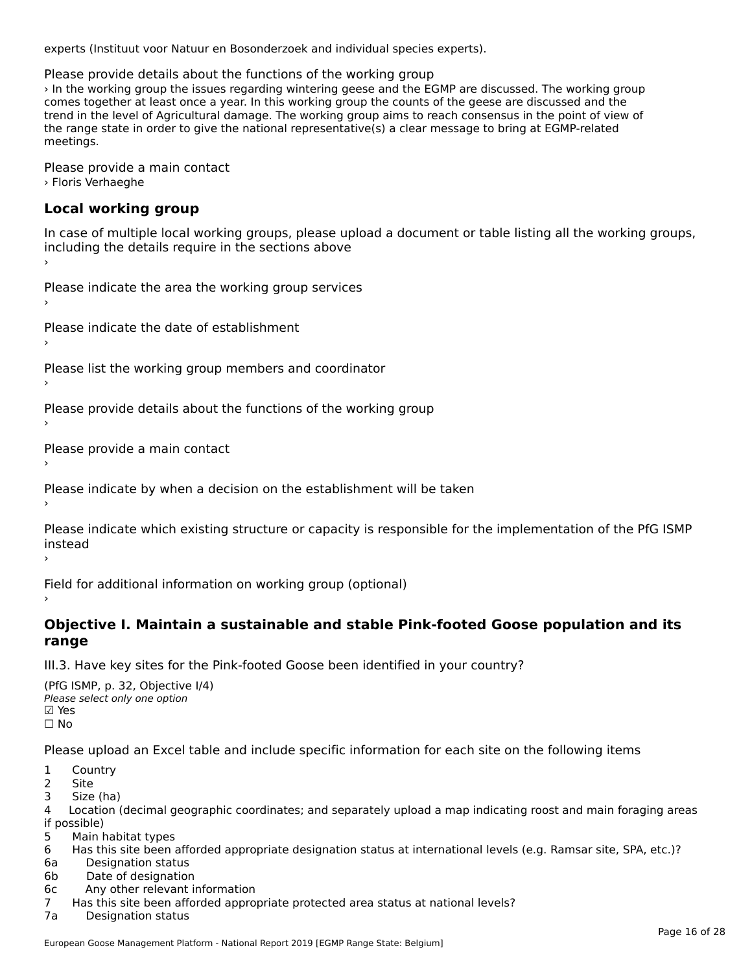experts (Instituut voor Natuur en Bosonderzoek and individual species experts).

Please provide details about the functions of the working group

› In the working group the issues regarding wintering geese and the EGMP are discussed. The working group or the working group the issues regarding whitefully geese and the Edivir are discussed. The working group the<br>trend in the level of Agricultural damage. In this working group the counts of the geese are discussed and the the range state in order to give the national representative order to be a clear message to be concerned to be the range state in order to give the national representative(s) a clear message to bring at LGMP-related<br>... meetings.

Please provide a main contact › Floris Verhaeghe

## **Local working group**

In case of multiple local working groups, please upload a document or table listing all the working groups, including the details require in the sections above

Please indicate the area the working group services ›

Please indicate the date of establishment ›

Please list the working group members and coordinator ›

Please provide details about the functions of the working group ›

Please provide a main contact ›

Please indicate by when a decision on the establishment will be taken

Please indicate which existing structure or capacity is responsible for the implementation of the PfG ISMP instead

Field for additional information on working group (optional)

# **Objective I. Maintain a sustainable and stable Pink-footed Goose population and its range**

III.3. Have key sites for the Pink-footed Goose been identified in your country?

(PfG ISMP, p. 32, Objective I/4) (110 15111 , p. 52, Objective<br>Please select only one option ⊠ Yes<br>□ No

Please upload an Excel table and include specific information for each site on the following items

- $1 \quad \alpha$
- 1 COUI
- 2 Site<br>3 Size (ha)

د احداد<br>4 Location (decimal geographic coordinates; and separately upload a map indicating roost and main foraging areas 4 Location<br>if possible)

5 Main habitat types

6 Has this site been afforded appropriate designation status at international levels (e.g. Ramsar site, SPA, etc.)?

6a Designation status

6b Date of designation

6c Any other relevant information

7 Has this site been afforded appropriate protected area status at national levels? 7a Designation status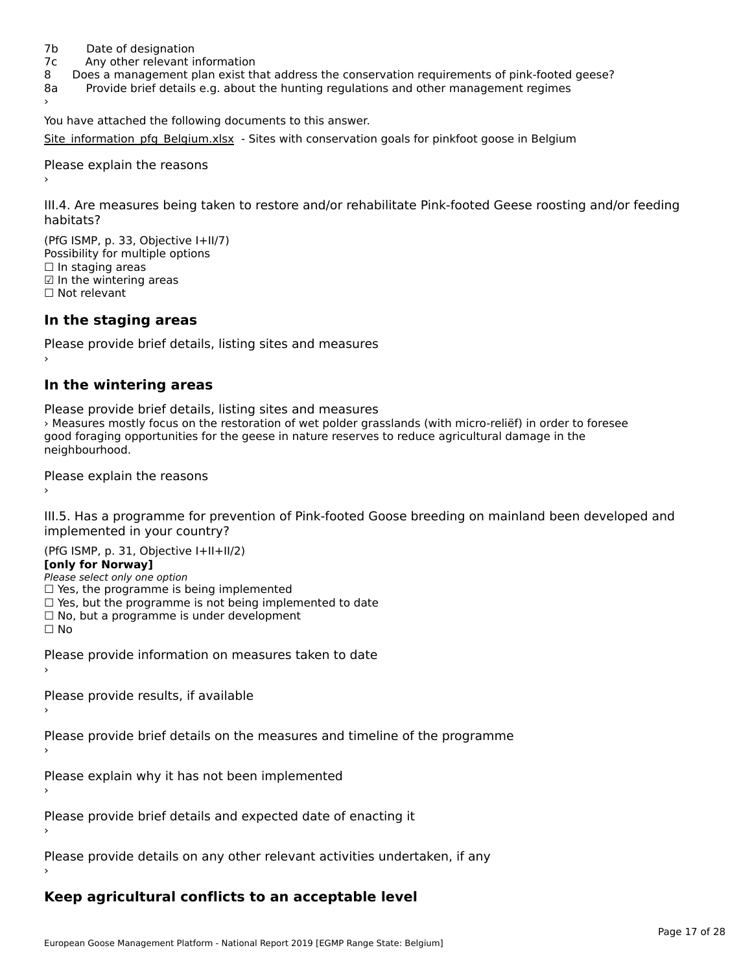- 7b Date of designation
- 7c Any other relevant information
- 8 Does a management plan exist that address the conservation requirements of pink-footed geese?
- 8a Provide brief details e.g. about the hunting regulations and other management regimes 8a

You have attached the following documents to this answer.

[Site\\_information\\_pfg\\_Belgium.xlsx](http://aewa-ort.ort-production.linode.unep-wcmc.org/answers/2629072/documents/1483) - Sites with conservation goals for pinkfoot goose in Belgium

Please explain the reasons

III.4. Are measures being taken to restore and/or rehabilitate Pink-footed Geese roosting and/or feeding

 $(DFC | CMP = 32, Okisative L+11/7)$ Possibility for multiple optionsrossibility for multiple options  $\Box$  In staging areas □ in staging areas<br>☑ In the wintering areas ☐ Not relevant

### **In the staging areas**

Please provide brief details, listing sites and measures ›

#### **In the wintering areas**

Please provide brief details, listing sites and measures rease provide brief details, itself grass and measures<br>> Measures mostly focus on the restoration of wet polder grasslands (with micro-reliëf) in order to foresee good foraging opportunities for the geese in nature reserves to reduce agricultural damage in the good ioraging o<br>neighbourhood.

Please explain the reasons

III.5. Has a programme for prevention of Pink-footed Goose breeding on mainland been developed and

(PfG ISMP, p. 31, Objective I+II+II/2)

**[only for Norway]**

Please select only one option

 $\Box$  Yes, the programme is being implemented

- □ Tes, the programme is being implemented<br>□ Yes, but the programme is not being implemented to date □ Tes, but the programme is not being implem<br>□ No, but a programme is under development
- 

☐ No

Please provide information on measures taken to date

Please provide results, if available

Please provide brief details on the measures and timeline of the programme

Please explain why it has not been implemented

Please provide brief details and expected date of enacting it

Please provide details on any other relevant activities undertaken, if any

### **Keep agricultural conflicts to an acceptable level**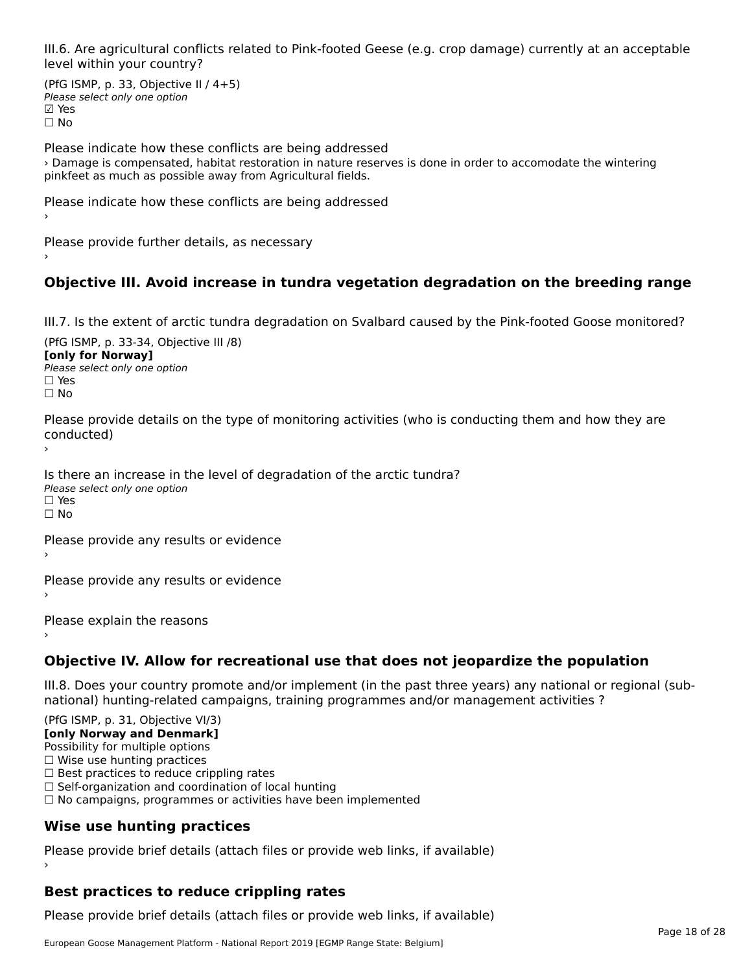III.6. Are agricultural conflicts related to Pink-footed Geese (e.g. crop damage) currently at an acceptable level within your country?

(PfG ISMP, p. 33, Objective II  $/$  4+5) Please select only one optionriease<br>□ Yes **☑ Yes**<br>□ No

Please indicate how these conflicts are being addressed › Damage is compensated, habitat restoration in nature reserves is done in order to accomodate the wintering pinkfeet as much as possible away from Agricultural fields.

Please indicate how these conflicts are being addressed

Please provide further details, as necessary ›

# **Objective III. Avoid increase in tundra vegetation degradation on the breeding range**

III.7. Is the extent of arctic tundra degradation on Svalbard caused by the Pink-footed Goose monitored?

 $(DfG | GMP, p. 33-34, O$ **[only for Norway]**[only for Norway] **Please select only one option**  $\square$  Yes ☐ No

Please provide details on the type of monitoring activities (who is conducting them and how they are conducted)

Is there an increase in the level of degradation of the arctic tundra? Please select only one option ☐ Yes☐ No

Please provide any results or evidence

Please provide any results or evidence

Please explain the reasons

**Objective IV. Allow for recreational use that does not jeopardize the population**

III.8. Does your country promote and/or implement (in the past three years) any national or regional (subnno. Does your country promote and/or implement (in the past tillee years) any national or<br>national) hunting-related campaigns, training programmes and/or management activities ?

(PfG ISMP, p. 31, Objective VI/3) **[only Norway and Denmark]** Possibility for multiple options ☐ Wise use hunting practices  $\Box$  Best practices to reduce crippling rates<br> $\Box$  Best practices to reduce crippling rates  $\Box$  Self-organization and coordination of local hunting □ Sen-organization and coordination or local nunting<br>□ No campaigns, programmes or activities have been implemented **Wise use hunting practices**

Please provide brief details (attach files or provide web links, if available) ›

# **Best practices to reduce crippling rates**

Please provide brief details (attach files or provide web links, if available)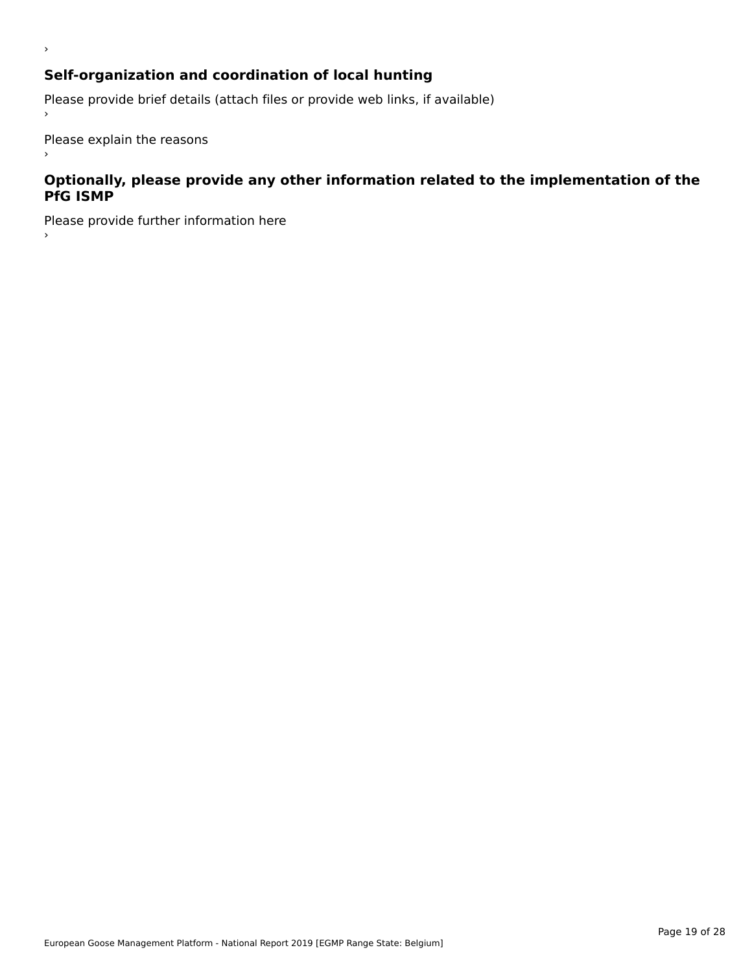# **Self-organization and coordination of local hunting**

Please provide brief details (attach files or provide web links, if available)

Please explain the reasons

›

 $\,$ 

#### **Optionally, please provide any other information related to the implementation of the PfG ISMP**

Please provide further information here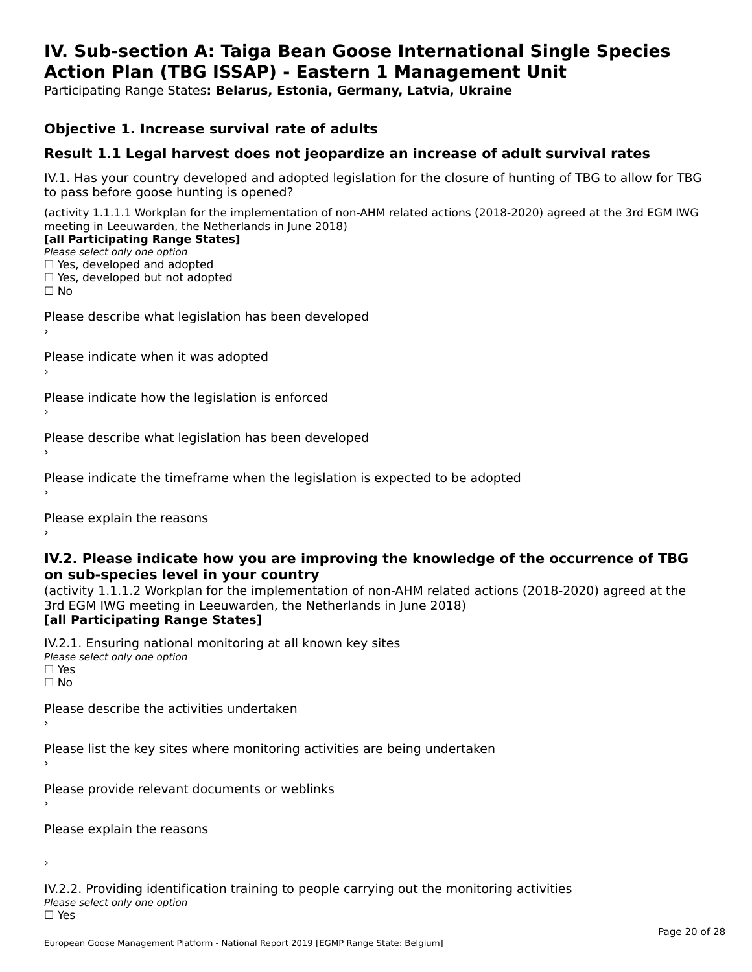#### **IV. Sub-section A: Taiga Bean Goose International Single Species Action Plan (TBG ISSAP) - Eastern 1 Management UnitAction Plan (TBG ISSAP) - Eastern 1 Management Unit**

Participating Range States**: Belarus, Estonia, Germany, Latvia, Ukraine** 

#### **Objective 1. Increase survival rate of adults**

### **Result 1.1 Legal harvest does not jeopardize an increase of adult survival rates**

IV.1. Has your country developed and adopted legislation for the closure of hunting of TBG to allow for TBG IV.1. Thas your country developed and add<br>to pass before goose hunting is opened?

(activity 1.1.1.1 Workplan for the implementation of non-AHM related actions (2018-2020) agreed at the 3rd EGM IWG meeting in Leeuwarden, the Netherlands in June 2018) **[all Participating Range States]**

#### [all Participating Range States]

Please select only one option ☐ Yes, developed and adopted

☐ Yes, developed but not adopted

 $\Box$  ies, developed but not adopted

Please describe what legislation has been developed

Please indicate when it was adopted

Please indicate how the legislation is enforced

Please describe what legislation has been developed

Please indicate the timeframe when the legislation is expected to be adopted

Please explain the reasons

#### **IV.2. Please indicate how you are improving the knowledge of the occurrence of TBG on sub-species level in your country**on sub-species level in your country

on sub-species fever in your country<br>(activity 1.1.1.2 Workplan for the implementation of non-AHM related actions (2018-2020) agreed at the **Brd EGM IWG meeting in Leeuwarden, the Netherlands in June 2018)** 

#### [all Participating Range States]

IV.2.1. Ensuring national monitoring at all known key sites <del>■ Western Chroning</del> Hational<br>Please select only one option  $\square$  Yes ☐ No

Please describe the activities undertaken

Please list the key sites where monitoring activities are being undertaken

Please provide relevant documents or weblinks

Please explain the reasons

›

IV.2.2. Providing identification training to people carrying out the monitoring activities <del>■ Western Fortung</del> Recrement<br>Please select only one option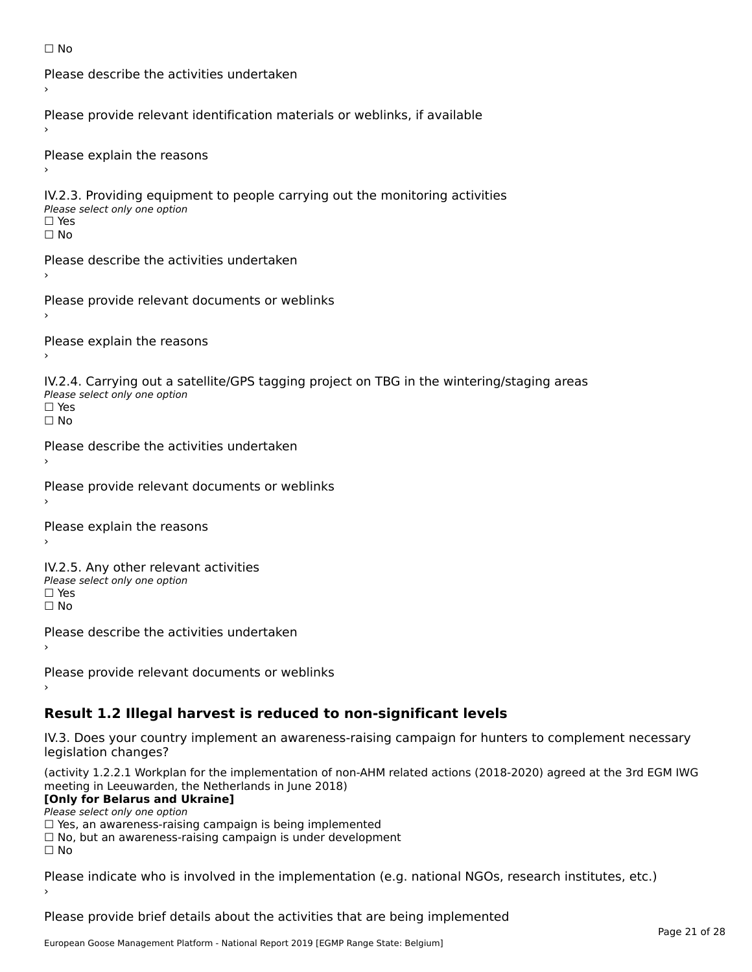```
☐ No
```

```
Please describe the activities undertaken›Please provide relevant identification materials or weblinks, if available
Please explain the reasons
IV.2.3. Providing equipment to people carrying out the monitoring activities
Please select only one option
☐ Yes□ Yes<br>□ No
Please describe the activities undertaken›Please provide relevant documents or weblinks
Please explain the reasons
IV.2.4. Carrying out a satellite/GPS tagging project on TBG in the wintering/staging areas
<del>∩</del><br>Please select only one option
□ Yes<br>□ No
Please describe the activities undertaken›Please provide relevant documents or weblinks
Please explain the reasons
IV.2.5. Any other relevant activities
Please select only one option
☐ Yes□ Yes<br>□ No
Please describe the activities undertaken›Please provide relevant documents or weblinks
Result 1.2 Illegal harvest is reduced to non-significant levels
```
IV.3. Does your country implement an awareness-raising campaign for hunters to complement necessary rv.5. Does your court<br>legislation changes?

(activity 1.2.2.1 Workplan for the implementation of non-AHM related actions (2018-2020) agreed at the 3rd EGM IWG meeting in Leeuwarden, the Netherlands in June 2018)

#### **[Only for Belarus and Ukraine]**

Please select only one option

riease select only one option<br>□ Yes, an awareness-raising campaign is being implemented

□ No, but an awareness-raising campaign is under development<br>□ N。

Please indicate who is involved in the implementation (e.g. national NGOs, research institutes, etc.)

Please provide brief details about the activities that are being implemented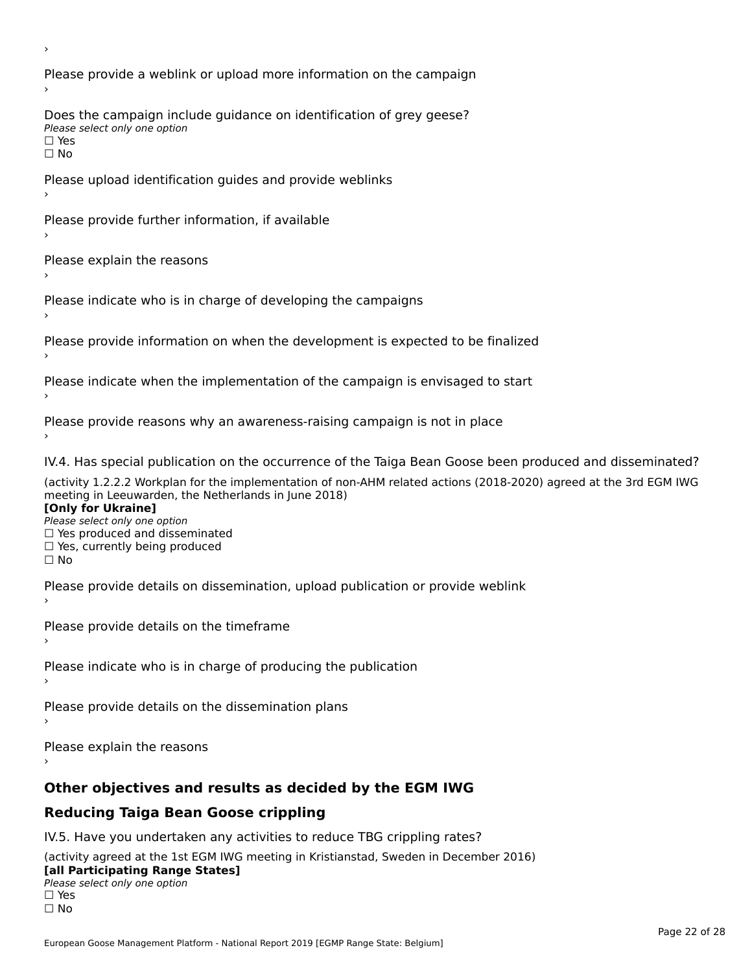Please provide a weblink or upload more information on the campaign Does the campaign include guidance on identification of grey geese? **DOCS** the campaign mer □ Yes<br>□ No Please upload identification guides and provide weblinks Please provide further information, if available Please explain the reasons Please indicate who is in charge of developing the campaigns Please provide information on when the development is expected to be finalized Please indicate when the implementation of the campaign is envisaged to start Please provide reasons why an awareness-raising campaign is not in place IV.4. Has special publication on the occurrence of the Taiga Bean Goose been produced and disseminated? (activity 1.2.2.2 Workplan for the implementation of non-AHM related actions (2018-2020) agreed at the 3rd EGM IWG **[Only for Ukraine] □ Yes produced and disseminated**<br>Please select only one option  $\Box$  ies produced and disseminated  $\Box$  ies, currently being produced Please provide details on dissemination, upload publication or provide weblink Please provide details on the timeframe Please indicate who is in charge of producing the publication Please provide details on the dissemination plans Please explain the reasons **Other objectives and results as decided by the EGM IWG Reducing Taiga Bean Goose crippling** IV.5. Have you undertaken any activities to reduce TBG crippling rates? (activity agreed at the 1st EGM IWG meeting in Kristianstad, Sweden in December 2016)

#### **[all Participating Range States]**[all Participating Range States]

**Law Tarticipating Range**<br>Please select only one option

□ Yes<br>□ No

›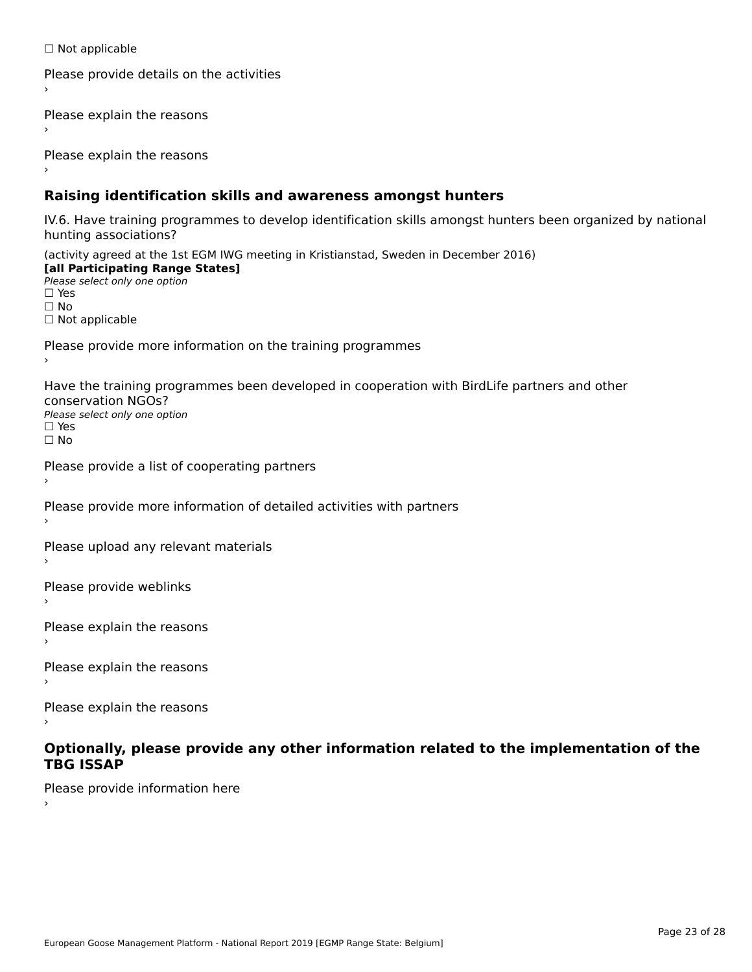☐ Not applicable

```
Please provide details on the activities
```
Please explain the reasons

Please explain the reasons

### **Raising identification skills and awareness amongst hunters**

IV.6. Have training programmes to develop identification skills amongst hunters been organized by national rv.o. riave training pro<br>hunting associations?

(activity agreed at the 1st EGM IWG meeting in Kristianstad, Sweden in December 2016) **[all Participating Range States]**[all Participating Range States] **Lan Tarticipating Range**<br>Please select only one option ☐ Yes☐ No□ Not applicable

Please provide more information on the training programmes

Have the training programmes been developed in cooperation with BirdLife partners and other conservation NGOs?Please select only one option☐ Yes☐ No

```
Please provide a list of cooperating partners
```
Please provide more information of detailed activities with partners

Please upload any relevant materials

Please provide weblinks

Please explain the reasons

Please explain the reasons›

Please explain the reasons

#### **Optionally, please provide any other information related to the implementation of the TBG ISSAPTBG ISSAP**

Please provide information here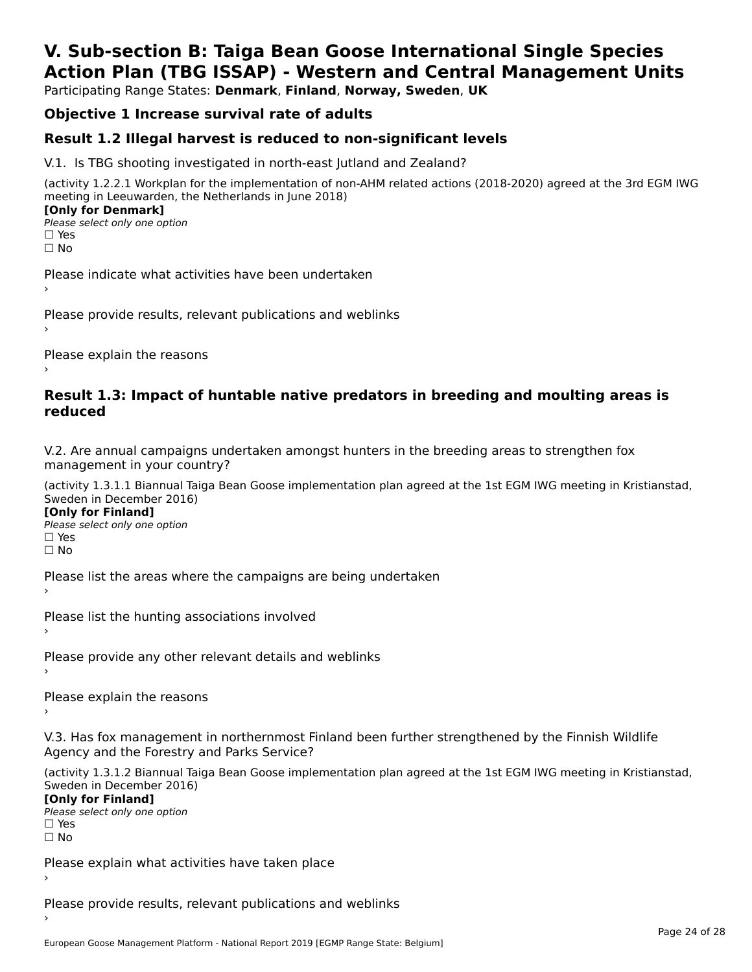# **V. Sub-section B: Taiga Bean Goose International Single SpeciesAction Plan (TBG ISSAP) - Western and Central Management Units**

Participating Range States: **Denmark**, **Finland**, **Norway, Sweden**, **UK**

# **Objective 1 Increase survival rate of adults**

### **Result 1.2 Illegal harvest is reduced to non-significant levels**

V.1. Is TBG shooting investigated in north-east Jutland and Zealand?

(activity 1.2.2.1 Workplan for the implementation of non-AHM related actions (2018-2020) agreed at the 3rd EGM IWG meeting in Leeuwarden, the Netherlands in June 2018) **[Only for Denmark] LOTTLY TOT DETITIONS**<br>Please select only one option

*riease*<br>□ Yes<br>□ No

Please indicate what activities have been undertaken›

Please provide results, relevant publications and weblinks ›

Please explain the reasons

#### **Result 1.3: Impact of huntable native predators in breeding and moulting areas is reduced**

V.2. Are annual campaigns undertaken amongst hunters in the breeding areas to strengthen fox v.z. Are annual campaigns und<br>management in your country?

(activity 1.3.1.1 Biannual Taiga Bean Goose implementation plan agreed at the 1st EGM IWG meeting in Kristianstad, Sweden in December 2016)

**[Only for Finland]** Please select only one optionriease<br>□ Yes ים וכ<br>⊡ No

Please list the areas where the campaigns are being undertaken

Please list the hunting associations involved

Please provide any other relevant details and weblinks ›

Please explain the reasons›

V.3. Has fox management in northernmost Finland been further strengthened by the Finnish Wildlife v.5. Has fox management in northernmost F<br>Agency and the Forestry and Parks Service?

(activity 1.3.1.2 Biannual Taiga Bean Goose implementation plan agreed at the 1st EGM IWG meeting in Kristianstad, Sweden in December 2016) Sweden in December 2016)

[Only for Finland]

**Please select only one option** □ Yes<br>□ No

Please explain what activities have taken place

Please provide results, relevant publications and weblinks ›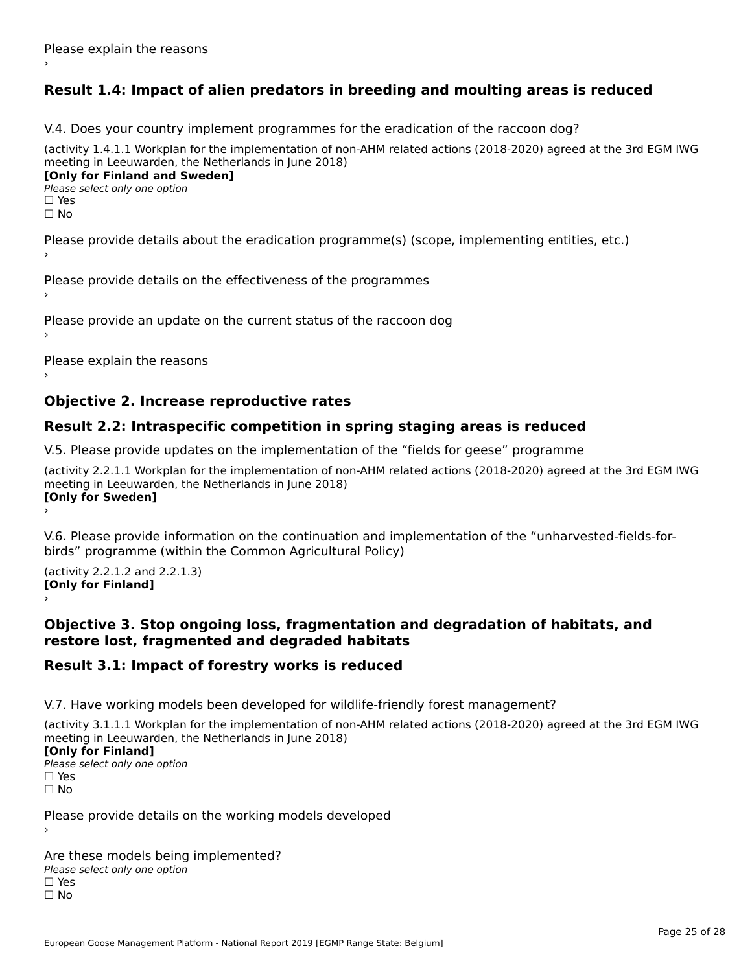# **Result 1.4: Impact of alien predators in breeding and moulting areas is reduced**

V.4. Does your country implement programmes for the eradication of the raccoon dog?

(activity 1.4.1.1 Workplan for the implementation of non-AHM related actions (2018-2020) agreed at the 3rd EGM IWG meeting in Leeuwarden, the Netherlands in June 2018) **[Only for Finland and Sweden]**

**Please select only one option** 

□ Yes<br>□ No

Please provide details about the eradication programme(s) (scope, implementing entities, etc.)

Please provide details on the effectiveness of the programmes

Please provide an update on the current status of the raccoon dog

Please explain the reasons

### **Objective 2. Increase reproductive rates**

#### **Result 2.2: Intraspecific competition in spring staging areas is reduced**

V.5. Please provide updates on the implementation of the "fields for geese" programme

(activity 2.2.1.1 Workplan for the implementation of non-AHM related actions (2018-2020) agreed at the 3rd EGM IWG meeting in Leeuwarden, the Netherlands in June 2018) Loury for Swedent

V.6. Please provide information on the continuation and implementation of the "unharvested-fields-forbirds" programme (within the Common Agricultural Policy)birds" programme (within the Common Agricultural Policy)

(activity 2.2.1.2 and 2.2.1.3) **[Only for Finland]** ›

#### **Objective 3. Stop ongoing loss, fragmentation and degradation of habitats, and restore lost, fragmented and degraded habitats**

#### **Result 3.1: Impact of forestry works is reduced**

V.7. Have working models been developed for wildlife-friendly forest management?

(activity 3.1.1.1 Workplan for the implementation of non-AHM related actions (2018-2020) agreed at the 3rd EGM IWG meeting in Leeuwarden, the Netherlands in June 2018)

#### **[Only for Finland]**

**Please select only one option** □ Yes<br>□ No

Please provide details on the working models developed

Are these models being implemented? ∩ne enese moders being<br>Please select only one option □ Yes<br>□ No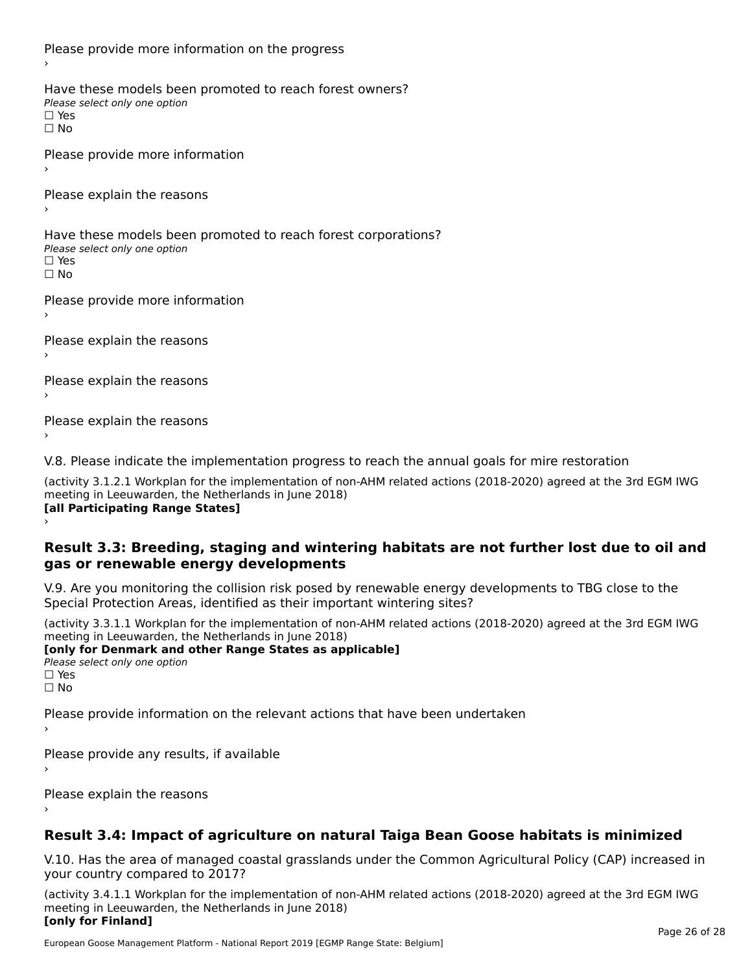Please provide more information on the progress Have these models been promoted to reach forest owners? ∩ave these models bee<br>Please select only one option □ Yes<br>□ No Please provide more information Please explain the reasons ›Have these models been promoted to reach forest corporations? ∩ave these models bee<br>Please select only one option □ Yes<br>□ No Please provide more information Please explain the reasons ›Please explain the reasons›Please explain the reasons›

V.8. Please indicate the implementation progress to reach the annual goals for mire restoration

(activity 3.1.2.1 Workplan for the implementation of non-AHM related actions (2018-2020) agreed at the 3rd EGM IWG meeting in Leeuwarden, the Netherlands in June 2018) **[all Participating Range States]** ›

**Result 3.3: Breeding, staging and wintering habitats are not further lost due to oil and gas or renewable energy developments**gas or renewable energy developments

V.9. Are you monitoring the collision risk posed by renewable energy developments to TBG close to the Special Protection Areas, identified as their important wintering sites?

(activity 3.3.1.1 Workplan for the implementation of non-AHM related actions (2018-2020) agreed at the 3rd EGM IWG meeting in Leeuwarden, the Netherlands in June 2018) **[only for Denmark and other Range States as applicable]**

```
Please select only one option
□ Yes<br>□ No
```
Please provide information on the relevant actions that have been undertaken ›

Please provide any results, if available

Please explain the reasons

# **Result 3.4: Impact of agriculture on natural Taiga Bean Goose habitats is minimized**

V.10. Has the area of managed coastal grasslands under the Common Agricultural Policy (CAP) increased in

(activity 3.4.1.1 Workplan for the implementation of non-AHM related actions (2018-2020) agreed at the 3rd EGM IWG meeting in Leeuwarden, the Netherlands in June 2018) **[only for Finland]**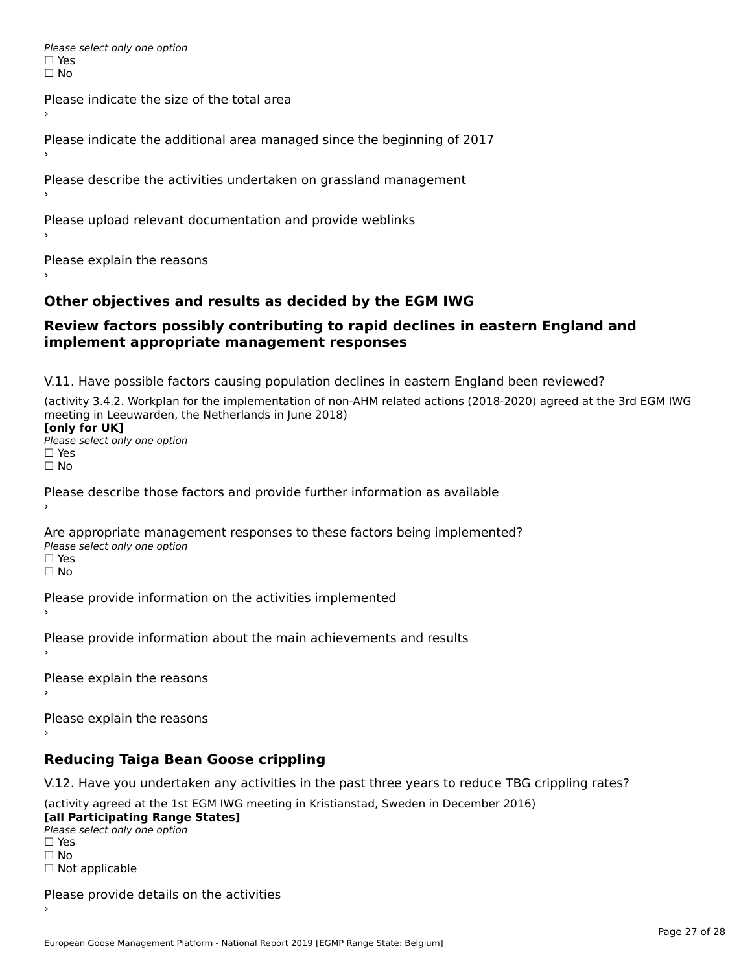Please select only one option □ Yes<br>□ No

Please indicate the size of the total area›

Please indicate the additional area managed since the beginning of 2017

Please describe the activities undertaken on grassland management

Please upload relevant documentation and provide weblinks

Please explain the reasons

### **Other objectives and results as decided by the EGM IWG**

#### **Review factors possibly contributing to rapid declines in eastern England and implement appropriate management responses**implement appropriate management responses

V.11. Have possible factors causing population declines in eastern England been reviewed?

(activity 3.4.2. Workplan for the implementation of non-AHM related actions (2018-2020) agreed at the 3rd EGM IWG meeting in Leeuwarden, the Netherlands in June 2018)<br>**[only for UK]** 

**∐omy for OR**<br>Please select only one option □ Yes<br>□ No

Please describe those factors and provide further information as available

Are appropriate management responses to these factors being implemented? Please select only one option ים<br>⊡ No

Please provide information on the activities implemented

Please provide information about the main achievements and results›

Please explain the reasons

Please explain the reasons

**Reducing Taiga Bean Goose crippling**

V.12. Have you undertaken any activities in the past three years to reduce TBG crippling rates?

(activity agreed at the 1st EGM IWG meeting in Kristianstad, Sweden in December 2016) **[all Participating Range States]**

[all Participating Range States] Please select only one option☐ Yesים<br>⊡ No □ Not applicable

Please provide details on the activities